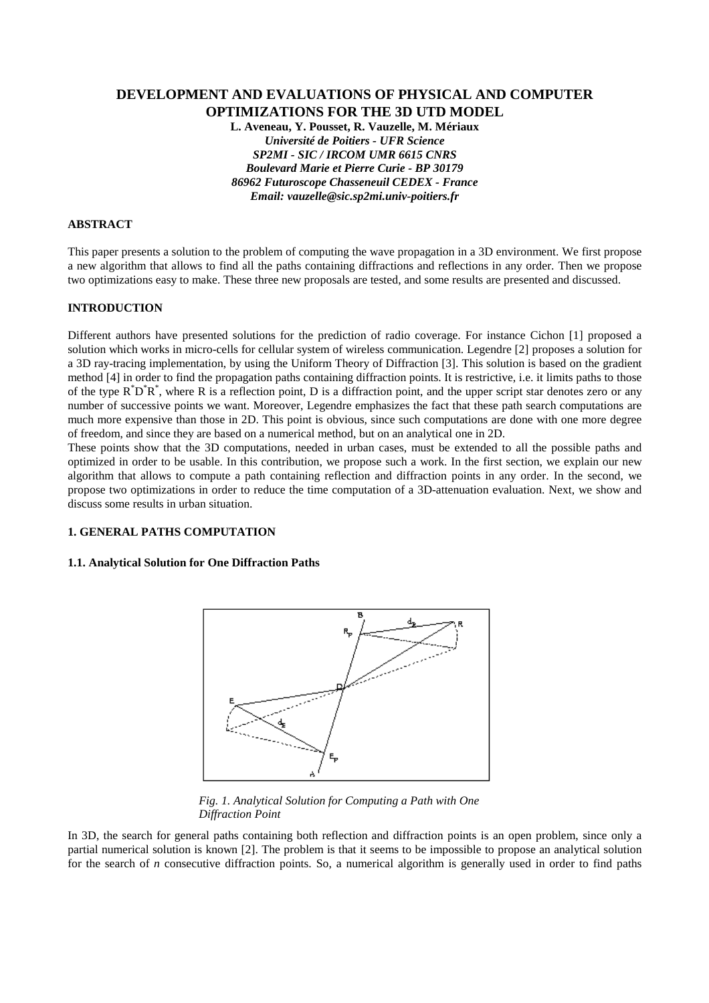# **DEVELOPMENT AND EVALUATIONS OF PHYSICAL AND COMPUTER OPTIMIZATIONS FOR THE 3D UTD MODEL**

**L. Aveneau, Y. Pousset, R. Vauzelle, M. Mériaux** *Université de Poitiers - UFR Science SP2MI - SIC / IRCOM UMR 6615 CNRS Boulevard Marie et Pierre Curie - BP 30179 86962 Futuroscope Chasseneuil CEDEX - France Email: vauzelle@sic.sp2mi.univ-poitiers.fr*

#### **ABSTRACT**

This paper presents a solution to the problem of computing the wave propagation in a 3D environment. We first propose a new algorithm that allows to find all the paths containing diffractions and reflections in any order. Then we propose two optimizations easy to make. These three new proposals are tested, and some results are presented and discussed.

# **INTRODUCTION**

Different authors have presented solutions for the prediction of radio coverage. For instance Cichon [1] proposed a solution which works in micro-cells for cellular system of wireless communication. Legendre [2] proposes a solution for a 3D ray-tracing implementation, by using the Uniform Theory of Diffraction [3]. This solution is based on the gradient method [4] in order to find the propagation paths containing diffraction points. It is restrictive, i.e. it limits paths to those of the type  $R^*D^*R^*$ , where R is a reflection point, D is a diffraction point, and the upper script star denotes zero or any number of successive points we want. Moreover, Legendre emphasizes the fact that these path search computations are much more expensive than those in 2D. This point is obvious, since such computations are done with one more degree of freedom, and since they are based on a numerical method, but on an analytical one in 2D.

These points show that the 3D computations, needed in urban cases, must be extended to all the possible paths and optimized in order to be usable. In this contribution, we propose such a work. In the first section, we explain our new algorithm that allows to compute a path containing reflection and diffraction points in any order. In the second, we propose two optimizations in order to reduce the time computation of a 3D-attenuation evaluation. Next, we show and discuss some results in urban situation.

# **1. GENERAL PATHS COMPUTATION**

#### **1.1. Analytical Solution for One Diffraction Paths**



*Fig. 1. Analytical Solution for Computing a Path with One Diffraction Point*

In 3D, the search for general paths containing both reflection and diffraction points is an open problem, since only a partial numerical solution is known [2]. The problem is that it seems to be impossible to propose an analytical solution for the search of *n* consecutive diffraction points. So, a numerical algorithm is generally used in order to find paths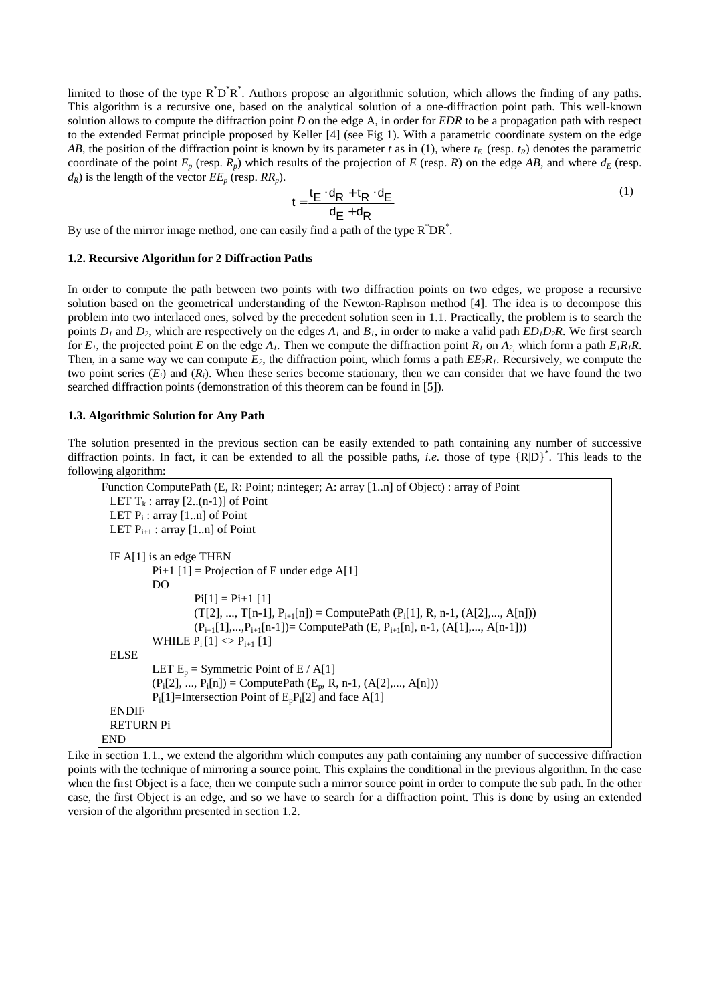limited to those of the type  $R^*D^*R^*$ . Authors propose an algorithmic solution, which allows the finding of any paths. This algorithm is a recursive one, based on the analytical solution of a one-diffraction point path. This well-known solution allows to compute the diffraction point *D* on the edge A, in order for *EDR* to be a propagation path with respect to the extended Fermat principle proposed by Keller [4] (see Fig 1). With a parametric coordinate system on the edge *AB*, the position of the diffraction point is known by its parameter *t* as in (1), where  $t_E$  (resp.  $t_R$ ) denotes the parametric coordinate of the point  $E_p$  (resp.  $R_p$ ) which results of the projection of *E* (resp. *R*) on the edge *AB*, and where  $d_E$  (resp.  $d_R$ ) is the length of the vector  $EE_p$  (resp.  $RR_p$ ).

$$
t = \frac{t_E \cdot d_R + t_R \cdot d_E}{d_E + d_R} \tag{1}
$$

By use of the mirror image method, one can easily find a path of the type  $R^*DR^*$ .

# **1.2. Recursive Algorithm for 2 Diffraction Paths**

In order to compute the path between two points with two diffraction points on two edges, we propose a recursive solution based on the geometrical understanding of the Newton-Raphson method [4]. The idea is to decompose this problem into two interlaced ones, solved by the precedent solution seen in 1.1. Practically, the problem is to search the points  $D_1$  and  $D_2$ , which are respectively on the edges  $A_1$  and  $B_1$ , in order to make a valid path  $ED_1D_2R$ . We first search for  $E_1$ , the projected point  $E$  on the edge  $A_1$ . Then we compute the diffraction point  $R_1$  on  $A_2$  which form a path  $E_1R_1R$ . Then, in a same way we can compute  $E_2$ , the diffraction point, which forms a path  $EE_2R_1$ . Recursively, we compute the two point series  $(E_i)$  and  $(R_i)$ . When these series become stationary, then we can consider that we have found the two searched diffraction points (demonstration of this theorem can be found in [5]).

#### **1.3. Algorithmic Solution for Any Path**

The solution presented in the previous section can be easily extended to path containing any number of successive diffraction points. In fact, it can be extended to all the possible paths, *i.e.* those of type {R|D}<sup>\*</sup>. This leads to the following algorithm:

```
Function ComputePath (E, R: Point; n:integer; A: array [1..n] of Object) : array of Point
 LET T_k: array [2..(n-1)] of Point
  LET P_i: array [1..n] of Point
 LET P_{i+1}: array [1..n] of Point
 IF A[1] is an edge THEN
           Pi+1 [1] = Projection of E under edge A[1]
           DO
                    Pi[1] = Pi+1 [1](T[2], ..., T[n-1], P_{i+1}[n]) = ComputePath (P_i[1], R, n-1, (A[2], ..., A[n]))(P_{i+1}[1],...,P_{i+1}[n-1])= ComputePath (E, P<sub>i+1</sub>[n], n-1, (A[1],..., A[n-1]))
           WHILE P_i[1] \ll P_{i+1}[1]ELSE
           LET E_p = Symmetric Point of E / A[1]
           (P_i[2], ..., P_i[n]) =ComputePath (E_p, R, n-1, (A[2], ..., A[n]))P_i[1]=Intersection Point of E_pP_i[2] and face A[1]
 ENDIF
 RETURN Pi
END
```
Like in section 1.1., we extend the algorithm which computes any path containing any number of successive diffraction points with the technique of mirroring a source point. This explains the conditional in the previous algorithm. In the case when the first Object is a face, then we compute such a mirror source point in order to compute the sub path. In the other case, the first Object is an edge, and so we have to search for a diffraction point. This is done by using an extended version of the algorithm presented in section 1.2.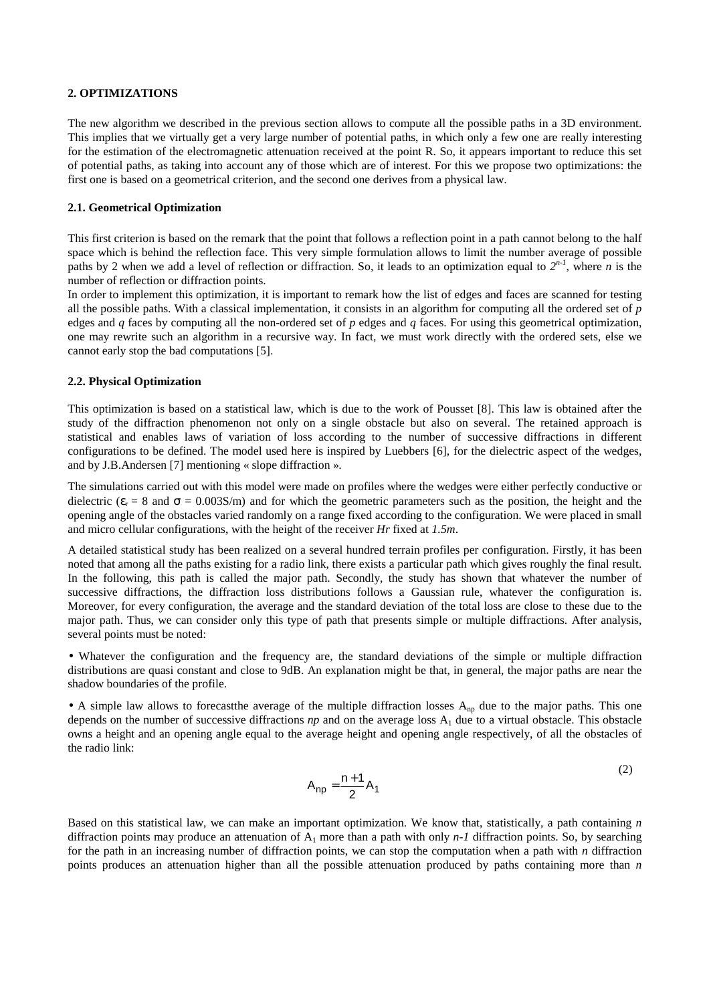### **2. OPTIMIZATIONS**

The new algorithm we described in the previous section allows to compute all the possible paths in a 3D environment. This implies that we virtually get a very large number of potential paths, in which only a few one are really interesting for the estimation of the electromagnetic attenuation received at the point R. So, it appears important to reduce this set of potential paths, as taking into account any of those which are of interest. For this we propose two optimizations: the first one is based on a geometrical criterion, and the second one derives from a physical law.

#### **2.1. Geometrical Optimization**

This first criterion is based on the remark that the point that follows a reflection point in a path cannot belong to the half space which is behind the reflection face. This very simple formulation allows to limit the number average of possible paths by 2 when we add a level of reflection or diffraction. So, it leads to an optimization equal to  $2^{n-1}$ , where *n* is the number of reflection or diffraction points.

In order to implement this optimization, it is important to remark how the list of edges and faces are scanned for testing all the possible paths. With a classical implementation, it consists in an algorithm for computing all the ordered set of *p* edges and *q* faces by computing all the non-ordered set of *p* edges and *q* faces. For using this geometrical optimization, one may rewrite such an algorithm in a recursive way. In fact, we must work directly with the ordered sets, else we cannot early stop the bad computations [5].

# **2.2. Physical Optimization**

This optimization is based on a statistical law, which is due to the work of Pousset [8]. This law is obtained after the study of the diffraction phenomenon not only on a single obstacle but also on several. The retained approach is statistical and enables laws of variation of loss according to the number of successive diffractions in different configurations to be defined. The model used here is inspired by Luebbers [6], for the dielectric aspect of the wedges, and by J.B.Andersen [7] mentioning « slope diffraction ».

The simulations carried out with this model were made on profiles where the wedges were either perfectly conductive or dielectric ( $\varepsilon_r = 8$  and  $\sigma = 0.003$ S/m) and for which the geometric parameters such as the position, the height and the opening angle of the obstacles varied randomly on a range fixed according to the configuration. We were placed in small and micro cellular configurations, with the height of the receiver *Hr* fixed at *1.5m*.

A detailed statistical study has been realized on a several hundred terrain profiles per configuration. Firstly, it has been noted that among all the paths existing for a radio link, there exists a particular path which gives roughly the final result. In the following, this path is called the major path. Secondly, the study has shown that whatever the number of successive diffractions, the diffraction loss distributions follows a Gaussian rule, whatever the configuration is. Moreover, for every configuration, the average and the standard deviation of the total loss are close to these due to the major path. Thus, we can consider only this type of path that presents simple or multiple diffractions. After analysis, several points must be noted:

• Whatever the configuration and the frequency are, the standard deviations of the simple or multiple diffraction distributions are quasi constant and close to 9dB. An explanation might be that, in general, the major paths are near the shadow boundaries of the profile.

• A simple law allows to forecast the average of the multiple diffraction losses  $A_{np}$  due to the major paths. This one depends on the number of successive diffractions  $np$  and on the average loss  $A_1$  due to a virtual obstacle. This obstacle owns a height and an opening angle equal to the average height and opening angle respectively, of all the obstacles of the radio link:

$$
A_{np} = \frac{n+1}{2} A_1
$$
 (2)

Based on this statistical law, we can make an important optimization. We know that, statistically, a path containing *n* diffraction points may produce an attenuation of  $A_1$  more than a path with only *n-1* diffraction points. So, by searching for the path in an increasing number of diffraction points, we can stop the computation when a path with *n* diffraction points produces an attenuation higher than all the possible attenuation produced by paths containing more than *n*